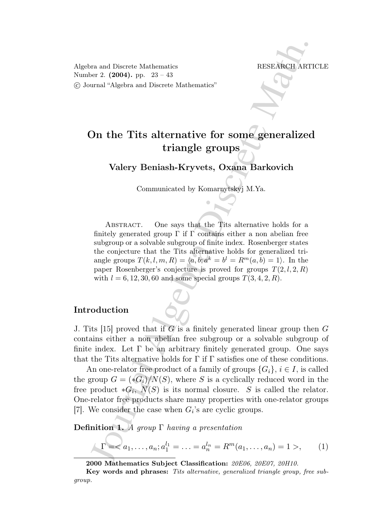Algebra and Discrete Mathematics RESEARCH ARTICLE Number 2. (2004). pp. 23 – 43 °c Journal "Algebra and Discrete Mathematics"

# On the Tits alternative for some generalized triangle groups

Valery Beniash-Kryvets, Oxana Barkovich

Communicated by Komarnytskyj M.Ya.

and Discrete Mathematics<br>
FESEANCH ART<br>
FESEANCH ART<br>
FESEANCH ART<br>
FESEANCH ART<br>
FESEANCH ART<br>
FESEANCH ART<br>
DD the Tits alternative for some generalized<br>
triangle groups<br>
Valery Beniash-Kryvets, Oxsina Barkovich<br>
Commun ABSTRACT. One says that the Tits alternative holds for a finitely generated group  $\Gamma$  if  $\Gamma$  contains either a non abelian free subgroup or a solvable subgroup of finite index. Rosenberger states the conjecture that the Tits alternative holds for generalized triangle groups  $T(k, l, m, R) = \langle a, b; a^k = b^l = R^m(a, b) = 1 \rangle$ . In the paper Rosenberger's conjecture is proved for groups  $T(2, l, 2, R)$ with  $l = 6, 12, 30, 60$  and some special groups  $T(3, 4, 2, R)$ .

### Introduction

J. Tits [15] proved that if  $G$  is a finitely generated linear group then  $G$ contains either a non abelian free subgroup or a solvable subgroup of finite index. Let  $\Gamma$  be an arbitrary finitely generated group. One says that the Tits alternative holds for  $\Gamma$  if  $\Gamma$  satisfies one of these conditions.

An one-relator free product of a family of groups  $\{G_i\}, i \in I$ , is called the group  $G = (\ast G_i)/N(S)$ , where S is a cyclically reduced word in the free product  $*G_i$ ,  $N(S)$  is its normal closure. S is called the relator. One-relator free products share many properties with one-relator groups [7]. We consider the case when  $G_i$ 's are cyclic groups.

Definition 1. A group  $\Gamma$  having a presentation

$$
\Gamma = , \qquad (1)
$$

<sup>2000</sup> Mathematics Subject Classification: 20E06, 20E07, 20H10.

Key words and phrases: Tits alternative, generalized triangle group, free subgroup.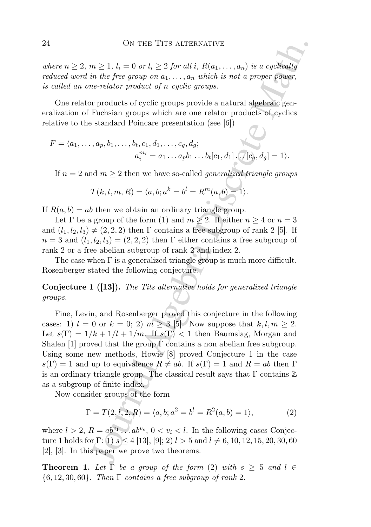where  $n \geq 2$ ,  $m \geq 1$ ,  $l_i = 0$  or  $l_i \geq 2$  for all i,  $R(a_1, \ldots, a_n)$  is a cyclically reduced word in the free group on  $a_1, \ldots, a_n$  which is not a proper power, is called an one-relator product of n cyclic groups.

One relator products of cyclic groups provide a natural algebraic generalization of Fuchsian groups which are one relator products of cyclics relative to the standard Poincare presentation (see [6])

$$
F = \langle a_1, \dots, a_p, b_1, \dots, b_t, c_1, d_1, \dots, c_g, d_g;
$$
  

$$
a_i^{m_i} = a_1 \dots a_p b_1 \dots b_t [c_1, d_1] \dots [c_g, d_g] = 1 \rangle.
$$

If  $n = 2$  and  $m \geq 2$  then we have so-called *generalized triangle groups* 

$$
T(k, l, m, R) = \langle a, b; a^k = b^l = R^m(a, b) = 1 \rangle.
$$

If  $R(a, b) = ab$  then we obtain an ordinary triangle group.

Let  $\Gamma$  be a group of the form (1) and  $m \geq 2$ . If either  $n \geq 4$  or  $n = 3$ and  $(l_1, l_2, l_3) \neq (2, 2, 2)$  then  $\Gamma$  contains a free subgroup of rank 2 [5]. If  $n = 3$  and  $(l_1, l_2, l_3) = (2, 2, 2)$  then  $\Gamma$  either contains a free subgroup of rank 2 or a free abelian subgroup of rank 2 and index 2.

The case when  $\Gamma$  is a generalized triangle group is much more difficult. Rosenberger stated the following conjecture.

Conjecture 1 ([13]). The Tits alternative holds for generalized triangle groups.

On This Tiris Altristics.<br>
The  $\geq 1$ ,  $l_i = 0$  or  $l_i \geq 2$  for all  $i$ ,  $R(a_1, ..., a_n)$  is a cyclically<br>  $m \geq 1$ ,  $l_i = 0$  or  $l_i$ ,  $m_i$  which is not a proper power,<br>  $m \geq$ riator product of n cyclic groups provide a natura Fine, Levin, and Rosenberger proved this conjecture in the following cases: 1)  $l = 0$  or  $k = 0$ ; 2)  $m \geq 3$  [5]. Now suppose that  $k, l, m \geq 2$ . Let  $s(\Gamma) = 1/k + 1/l + 1/m$ . If  $s(\Gamma) < 1$  then Baumslag, Morgan and Shalen [1] proved that the group  $\Gamma$  contains a non abelian free subgroup. Using some new methods, Howie [8] proved Conjecture 1 in the case  $s(\Gamma) = 1$  and up to equivalence  $R \neq ab$ . If  $s(\Gamma) = 1$  and  $R = ab$  then  $\Gamma$ is an ordinary triangle group. The classical result says that  $\Gamma$  contains  $\mathbb Z$ as a subgroup of finite index.

Now consider groups of the form

$$
\Gamma = T(2, l, 2, R) = \langle a, b; a^2 = b^l = R^2(a, b) = 1 \rangle,
$$
 (2)

where  $l > 2$ ,  $R = ab^{v_1} \dots ab^{v_s}$ ,  $0 < v_i < l$ . In the following cases Conjecture 1 holds for Γ: 1)  $s \leq 4$  [13], [9]; 2)  $l > 5$  and  $l \neq 6, 10, 12, 15, 20, 30, 60$ [2], [3]. In this paper we prove two theorems.

**Theorem 1.** Let  $\overline{\Gamma}$  be a group of the form (2) with  $s \geq 5$  and  $l \in$  $\{6, 12, 30, 60\}$ . Then  $\Gamma$  contains a free subgroup of rank 2.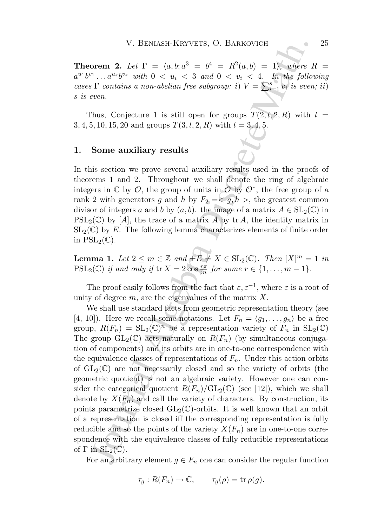**Theorem 2.** Let  $\Gamma = \langle a, b; a^3 = b^4 = R^2(a, b) = 1 \rangle$ , where  $R =$  $a^{u_1}b^{v_1} \ldots a^{u_s}b^{v_s}$  with  $0 \lt u_i \lt 3$  and  $0 \lt v_i \lt 4$ . In the following cases  $\Gamma$  contains a non-abelian free subgroup: i)  $V = \sum_{i=1}^{s} v_i$  is even; ii) s is even.

Thus, Conjecture 1 is still open for groups  $T(2, l, 2, R)$  with  $l =$ 3, 4, 5, 10, 15, 20 and groups  $T(3, l, 2, R)$  with  $l = 3, 4, 5$ .

### 1. Some auxiliary results

In this section we prove several auxiliary results used in the proofs of theorems 1 and 2. Throughout we shall denote the ring of algebraic integers in  $\mathbb C$  by  $\mathcal O$ , the group of units in  $\mathcal O$  by  $\mathcal O^*$ , the free group of a rank 2 with generators g and h by  $F_2 = \langle g, h \rangle$ , the greatest common divisor of integers a and b by  $(a, b)$ . the image of a matrix  $A \in SL_2(\mathbb{C})$  in  $PSL_2(\mathbb{C})$  by [A], the trace of a matrix A by tr A, the identity matrix in  $SL_2(\mathbb{C})$  by E. The following lemma characterizes elements of finite order in  $PSL_2(\mathbb{C})$ .

**Lemma 1.** Let  $2 \le m \in \mathbb{Z}$  and  $\pm E \ne X \in SL_2(\mathbb{C})$ . Then  $[X]^m = 1$  in  $PSL_2(\mathbb{C})$  if and only if  $\text{tr } X = 2 \cos \frac{r\pi}{m}$  for some  $r \in \{1, \ldots, m-1\}.$ 

The proof easily follows from the fact that  $\varepsilon, \varepsilon^{-1}$ , where  $\varepsilon$  is a root of unity of degree  $m$ , are the eigenvalues of the matrix  $X$ .

V. BENASH-KRYVETS, O. BARKOVICH<br>
orem 2. Let  $\Gamma = \langle a, b, a^3 = b^4 = R^2(a, b) = 1 \rangle$ , where  $\overline{I}$ ,  $...a^{n_k}b^{n_k}$  and  $0 < u_i < 3$  and  $0 < v_i < 4$ . In the following  $\overline{S}$ . The contains a non-abelian free subgroup:  $i)$   $V = \sum_{i=1}$ We shall use standard facts from geometric representation theory (see [4, 10]). Here we recall some notations. Let  $F_n = \langle g_1, \ldots, g_n \rangle$  be a free group,  $R(F_n) = SL_2(\mathbb{C})^n$  be a representation variety of  $F_n$  in  $SL_2(\mathbb{C})$ The group  $GL_2(\mathbb{C})$  acts naturally on  $R(F_n)$  (by simultaneous conjugation of components) and its orbits are in one-to-one correspondence with the equivalence classes of representations of  $F_n$ . Under this action orbits of  $GL_2(\mathbb{C})$  are not necessarily closed and so the variety of orbits (the geometric quotient) is not an algebraic variety. However one can consider the categorical quotient  $R(F_n)/GL_2(\mathbb{C})$  (see [12]), which we shall denote by  $X(F_n)$  and call the variety of characters. By construction, its points parametrize closed  $GL_2(\mathbb{C})$ -orbits. It is well known that an orbit of a representation is closed iff the corresponding representation is fully reducible and so the points of the variety  $X(F_n)$  are in one-to-one correspondence with the equivalence classes of fully reducible representations of  $\Gamma$  in  $SL_2(\mathbb{C})$ .

For an arbitrary element  $g \in F_n$  one can consider the regular function

$$
\tau_g: R(F_n) \to \mathbb{C}, \qquad \tau_g(\rho) = \text{tr}\,\rho(g).
$$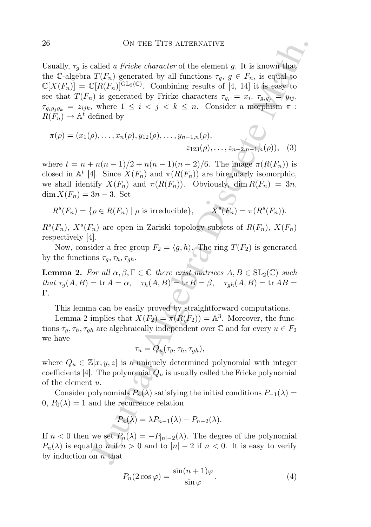ON THE TITS ALTERINATIVE<br>
called a Pricke character of the element g. It is known that<br>  $T(F_n)$  generated by all functions  $\tau_n$  g  $\in F_n$ , is equal to<br>  $T(F_n)$  generated by Fricke characters  $\tau_n = x_i$ ,  $\tau_{n0j} = y_{ij}$ ,<br>
where Usually,  $\tau_q$  is called a Fricke character of the element g. It is known that the C-algebra  $T(F_n)$  generated by all functions  $\tau_q$ ,  $g \in F_n$ , is equal to  $\mathbb{C}[X(F_n)] = \mathbb{C}[R(F_n)]^{\text{GL}_2(\mathbb{C})}$ . Combining results of [4, 14] it is easy to see that  $T(F_n)$  is generated by Fricke characters  $\tau_{g_i} = x_i$ ,  $\tau_{g_ig_j} = y_{ij}$ ,  $\tau_{g_ig_jg_k} = z_{ijk}$ , where  $1 \leq i < j < k \leq n$ . Consider a morphism  $\pi$ :  $R(F_n) \to \mathbb{A}^t$  defined by

$$
\pi(\rho) = (x_1(\rho), \dots, x_n(\rho), y_{12}(\rho), \dots, y_{n-1,n}(\rho), \dots, z_{n-2,n-1,n}(\rho)), \quad (3)
$$

where  $t = n + n(n-1)/2 + n(n-1)(n-2)/6$ . The image  $\pi(R(F_n))$  is closed in  $\mathbb{A}^t$  [4]. Since  $X(F_n)$  and  $\pi(R(F_n))$  are biregularly isomorphic, we shall identify  $X(F_n)$  and  $\pi(R(F_n))$ . Obviously, dim  $R(F_n) = 3n$ ,  $\dim X(F_n) = 3n - 3$ . Set

$$
R^{s}(F_n) = \{ \rho \in R(F_n) \mid \rho \text{ is irreducible} \}, \qquad X^{s}(F_n) = \pi(R^{s}(F_n)).
$$

 $R^{s}(F_n)$ ,  $X^{s}(F_n)$  are open in Zariski topology subsets of  $R(F_n)$ ,  $X(F_n)$ respectively [4].

Now, consider a free group  $F_2 = \langle g, h \rangle$ . The ring  $T(F_2)$  is generated by the functions  $\tau_q, \tau_h, \tau_{gh}$ .

**Lemma 2.** For all  $\alpha, \beta, \Gamma \in \mathbb{C}$  there exist matrices  $A, B \in SL_2(\mathbb{C})$  such that  $\tau_g(A, B) = \text{tr } A = \alpha$ ,  $\tau_h(A, B) = \text{tr } B = \beta$ ,  $\tau_{gh}(A, B) = \text{tr } AB = \alpha$ Γ.

This lemma can be easily proved by straightforward computations.

Lemma 2 implies that  $X(F_2) = \pi(R(F_2)) = \mathbb{A}^3$ . Moreover, the functions  $\tau_g, \tau_h, \tau_{gh}$  are algebraically independent over  $\mathbb C$  and for every  $u \in F_2$ we have

$$
\tau_u = Q_u(\tau_g, \tau_h, \tau_{gh}),
$$

where  $Q_u \in \mathbb{Z}[x, y, z]$  is a uniquely determined polynomial with integer coefficients [4]. The polynomial  $Q_u$  is usually called the Fricke polynomial of the element u.

Consider polynomials  $P_n(\lambda)$  satisfying the initial conditions  $P_{-1}(\lambda)$  = 0,  $P_0(\lambda) = 1$  and the recurrence relation

$$
P_n(\lambda) = \lambda P_{n-1}(\lambda) - P_{n-2}(\lambda).
$$

If  $n < 0$  then we set  $P_n(\lambda) = -P_{|n|-2}(\lambda)$ . The degree of the polynomial  $P_n(\lambda)$  is equal to n if  $n > 0$  and to  $|n| - 2$  if  $n < 0$ . It is easy to verify by induction on  $n$  that

$$
P_n(2\cos\varphi) = \frac{\sin(n+1)\varphi}{\sin\varphi}.\tag{4}
$$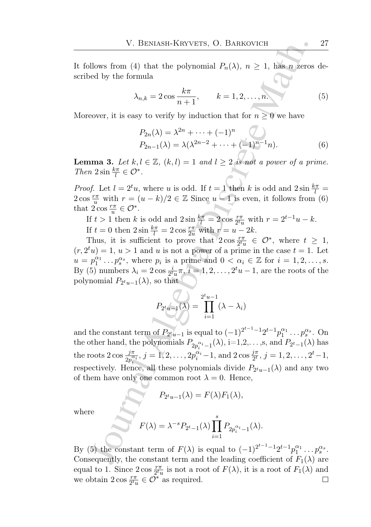It follows from (4) that the polynomial  $P_n(\lambda)$ ,  $n \geq 1$ , has n zeros described by the formula

$$
\lambda_{n,k} = 2\cos\frac{k\pi}{n+1}, \qquad k = 1, 2, \dots, n.
$$
 (5)

Moreover, it is easy to verify by induction that for  $n \geq 0$  we have

$$
P_{2n}(\lambda) = \lambda^{2n} + \dots + (-1)^n
$$
  
\n
$$
P_{2n-1}(\lambda) = \lambda(\lambda^{2n-2} + \dots + (-1)^{n-1}n).
$$
 (6)

**Lemma 3.** Let  $k, l \in \mathbb{Z}$ ,  $(k, l) = 1$  and  $l \geq 2$  is not a power of a prime. Then  $2\sin\frac{k\pi}{l} \in \mathcal{O}^*$ .

*Proof.* Let  $l = 2^t u$ , where u is odd. If  $t = 1$  then k is odd and  $2 \sin \frac{k\pi}{l} =$  $2 \cos \frac{r\pi}{u}$  with  $r = (u - k)/2 \in \mathbb{Z}$  Since  $u - 1$  is even, it follows from (6) that  $2 \cos \frac{r\pi}{u} \in \mathcal{O}^*$ .

If  $t > 1$  then k is odd and  $2\sin\frac{k\pi}{l} = 2\cos\frac{r\pi}{2^tu}$  with  $r = 2^{t-1}u - k$ .

If  $t = 0$  then  $2\sin\frac{k\pi}{l} = 2\cos\frac{r\pi}{2u}$  with  $r = u - 2k$ .

Thus, it is sufficient to prove that  $2 \cos \frac{r\pi}{2^t u} \in \mathcal{O}^*$ , where  $t \geq 1$ ,  $(r, 2<sup>t</sup>u) = 1, u > 1$  and u is not a power of a prime in the case  $t = 1$ . Let  $u = p_1^{\alpha_1} \dots p_s^{\alpha_s}$ , where  $p_i$  is a prime and  $0 < \alpha_i \in \mathbb{Z}$  for  $i = 1, 2, \dots, s$ . By (5) numbers  $\lambda_i = 2 \cos \frac{i}{2^t u} \pi, i = 1, 2, \dots, 2^t u - 1$ , are the roots of the polynomial  $P_{2^tu-1}(\lambda)$ , so that

$$
P_{2^t u - 1}(\lambda) = \prod_{i=1}^{2^t u - 1} (\lambda - \lambda_i)
$$

V. BENASH-KRYVETS, O. BARKOVICH<br>
Hows from (4) that the polynomial  $P_n(\lambda), n \ge 1$ , has n zeros<br>
ed by the formula<br>  $\lambda_{n,k} = 2 \cos \frac{k\pi}{n+1}$ ,  $k = 1, 2, ..., n$ ,<br>
eover, it is easy to verify by induction that for  $n \ge 0$  we have<br> and the constant term of  $P_{2t_{u-1}}$  is equal to  $(-1)^{2^{t-1}-1}2^{t-1}p_1^{\alpha_1}\dots p_s^{\alpha_s}$ . On the other hand, the polynomials  $P_{2p_i^{\alpha_i}-1}(\lambda)$ , i=1,2,...,s, and  $P_{2^t-1}(\lambda)$  has the roots  $2 \cos \frac{j\pi}{2p_i^{\alpha_i}}$ ,  $j = 1, 2, ..., 2p_i^{\alpha_i} - 1$ , and  $2 \cos \frac{j\pi}{2^t}$ ,  $j = 1, 2, ..., 2^t - 1$ , respectively. Hence, all these polynomials divide  $P_{2^t u-1}(\lambda)$  and any two of them have only one common root  $\lambda = 0$ . Hence,

$$
P_{2^t u - 1}(\lambda) = F(\lambda) F_1(\lambda),
$$

where

$$
F(\lambda) = \lambda^{-s} P_{2^t - 1}(\lambda) \prod_{i=1}^s P_{2p_i^{\alpha_i} - 1}(\lambda).
$$

By (5) the constant term of  $F(\lambda)$  is equal to  $(-1)^{2^{t-1}-1}2^{t-1}p_1^{\alpha_1}\ldots p_s^{\alpha_s}$ . Consequently, the constant term and the leading coefficient of  $F_1(\lambda)$  are equal to 1. Since  $2 \cos \frac{r\pi}{2^t u}$  is not a root of  $F(\lambda)$ , it is a root of  $F_1(\lambda)$  and we obtain  $2 \cos \frac{r\pi}{2^t u} \in \overline{\mathcal{O}}^*$  as required.  $\Box$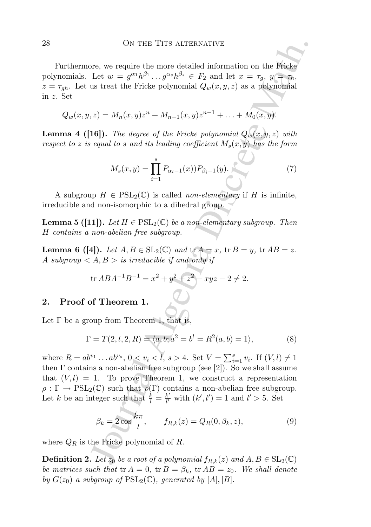Furthermore, we require the more detailed information on the Fricke polynomials. Let  $w = g^{\alpha_1} h^{\beta_1} \dots g^{\alpha_s} h^{\beta_s} \in F_2$  and let  $x = \tau_g$ ,  $y = \tau_h$ ,  $z = \tau_{gh}$ . Let us treat the Fricke polynomial  $Q_w(x, y, z)$  as a polynomial in z. Set

$$
Q_w(x, y, z) = M_n(x, y)z^n + M_{n-1}(x, y)z^{n-1} + \ldots + M_0(x, y).
$$

**Lemma 4 ([16]).** The degree of the Fricke polynomial  $Q_w(x, y, z)$  with respect to z is equal to s and its leading coefficient  $M_s(x, y)$  has the form

$$
M_s(x,y) = \prod_{i=1}^s P_{\alpha_i - 1}(x) P_{\beta_i - 1}(y).
$$
 (7)

A subgroup  $H \in \text{PSL}_2(\mathbb{C})$  is called *non-elementary* if H is infinite, irreducible and non-isomorphic to a dihedral group.

**Lemma 5 ([11]).** Let  $H \in \text{PSL}_2(\mathbb{C})$  be a non-elementary subgroup. Then H contains a non-abelian free subgroup.

**Lemma 6 (4).** Let  $A, B \in SL_2(\mathbb{C})$  and  $\text{tr } A = x$ ,  $\text{tr } B = y$ ,  $\text{tr } AB = z$ . A subgroup  $\langle A, B \rangle$  is irreducible if and only if

$$
\text{tr }ABA^{-1}B^{-1} = x^2 + y^2 + z^2 - xyz - 2 \neq 2.
$$

## 2. Proof of Theorem 1.

Let  $\Gamma$  be a group from Theorem 1, that is

$$
\Gamma = T(2, l, 2, R) = \langle a, b; a^2 = b^l = R^2(a, b) = 1 \rangle,
$$
 (8)

ON THE TITS ALTERATIVE<br>
Dec. we require the more detailed information on the Fricke<br>
Let  $w = g^{\alpha_1}h^{\beta_1} \dots g^{\alpha_r}h^{\beta_r} \in F_2$  and let  $x = \tau_g$ ,  $y = \tau_b$ ,<br>
us treat the Fricke polynomial  $Q_w(x, y, z)$  as a polynomial<br>  $z$ ) = where  $R = ab^{v_1} \dots ab^{v_s}$ ,  $0 < v_i < l$ ,  $s > 4$ . Set  $V = \sum_{i=1}^{s} v_i$ . If  $(V, l) \neq 1$ then  $\Gamma$  contains a non-abelian free subgroup (see [2]). So we shall assume that  $(V, l) = 1$ . To prove Theorem 1, we construct a representation  $\rho : \Gamma \to \text{PSL}_2(\mathbb{C})$  such that  $\rho(\Gamma)$  contains a non-abelian free subgroup. Let k be an integer such that  $\frac{k}{l} = \frac{k'}{l'}$  $\frac{k'}{l'}$  with  $(k', l') = 1$  and  $l' > 5$ . Set

$$
\beta_k = 2\cos\frac{k\pi}{l}, \qquad f_{R,k}(z) = Q_R(0,\beta_k,z),\tag{9}
$$

where  $Q_R$  is the Fricke polynomial of R.

**Definition 2.** Let  $z_0$  be a root of a polynomial  $f_{R,k}(z)$  and  $A, B \in SL_2(\mathbb{C})$ be matrices such that  $tr A = 0$ ,  $tr B = \beta_k$ ,  $tr AB = z_0$ . We shall denote by  $G(z_0)$  a subgroup of  $PSL_2(\mathbb{C})$ , generated by  $[A], [B]$ .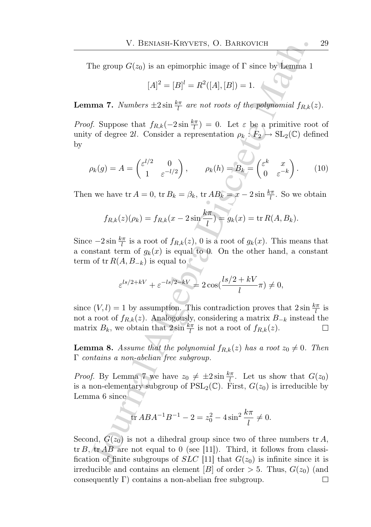The group  $G(z_0)$  is an epimorphic image of  $\Gamma$  since by Lemma 1

$$
[A]^2 = [B]^l = R^2([A], [B]) = 1.
$$

**Lemma 7.** Numbers  $\pm 2 \sin \frac{k\pi}{l}$  are not roots of the polynomial  $f_{R,k}(z)$ .

V. BENASH-KRYVETS, O. BARKOVICH<br>
The group  $G(z_0)$  is an epimorphic image of  $\Gamma$  since by Lemma 1<br>  $[A]^2 = [B]^I = R^2([A],[B]) = 1$ .<br>
Ima 7. Numbers  $\pm 2\sin{\frac{k\pi}{2}}$  are not roots of the polynomial  $f_{R,k}(\cdot)$ <br>
If Suppose that  $f_{R$ *Proof.* Suppose that  $f_{R,k}(-2\sin\frac{k\pi}{l})=0$ . Let  $\varepsilon$  be a primitive root of unity of degree 2l. Consider a representation  $\rho_k : F_2 \to SL_2(\mathbb{C})$  defined by

$$
\rho_k(g) = A = \begin{pmatrix} \varepsilon^{l/2} & 0 \\ 1 & \varepsilon^{-l/2} \end{pmatrix}, \qquad \rho_k(h) = B_k = \begin{pmatrix} \varepsilon^k & x \\ 0 & \varepsilon^{-k} \end{pmatrix}.
$$
 (10)

Then we have tr  $A = 0$ , tr  $B_k = \beta_k$ , tr  $AB_k = x - 2 \sin \frac{k\pi}{l}$ . So we obtain

$$
f_{R,k}(z)(\rho_k) = f_{R,k}(x - 2\sin\frac{k\pi}{l}) = g_k(x) = \text{tr } R(A, B_k).
$$

Since  $-2\sin\frac{k\pi}{l}$  is a root of  $f_{R,k}(z)$ , 0 is a root of  $g_k(x)$ . This means that a constant term of  $g_k(x)$  is equal to 0. On the other hand, a constant term of tr  $R(A, B_{-k})$  is equal to

$$
\varepsilon^{ls/2+kV} + \varepsilon^{-ls/2-kV} = 2\cos(\frac{ls/2+kV}{l}\pi) \neq 0,
$$

since  $(V, l) = 1$  by assumption. This contradiction proves that  $2 \sin \frac{k\pi}{l}$  is not a root of  $f_{R,k}(z)$ . Analogously, considering a matrix  $B_{-k}$  instead the matrix  $B_k$ , we obtain that  $2\sin\frac{k\pi}{l}$  is not a root of  $f_{R,k}(z)$ . ப

**Lemma 8.** Assume that the polynomial  $f_{R,k}(z)$  has a root  $z_0 \neq 0$ . Then Γ contains a non-abelian free subgroup.

*Proof.* By Lemma 7 we have  $z_0 \neq \pm 2 \sin \frac{k\pi}{l}$ . Let us show that  $G(z_0)$ is a non-elementary subgroup of  $PSL_2(\mathbb{C})$ . First,  $G(z_0)$  is irreducible by Lemma 6 since

$$
\operatorname{tr} ABA^{-1}B^{-1} - 2 = z_0^2 - 4\sin^2\frac{k\pi}{l} \neq 0.
$$

Second,  $G(z_0)$  is not a dihedral group since two of three numbers tr A,  $tr B$ ,  $tr AB$  are not equal to 0 (see [11]). Third, it follows from classification of finite subgroups of  $SLC$  [11] that  $G(z_0)$  is infinite since it is irreducible and contains an element [B] of order  $> 5$ . Thus,  $G(z_0)$  (and consequently  $\Gamma$ ) contains a non-abelian free subgroup.  $\Box$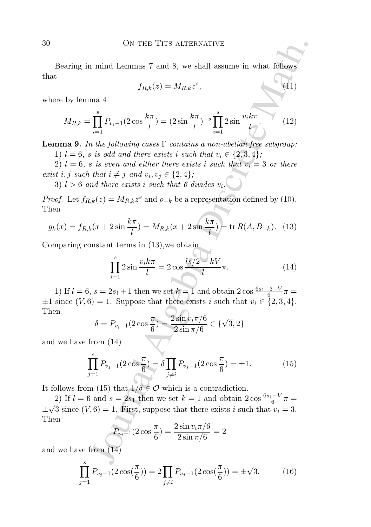Bearing in mind Lemmas 7 and 8, we shall assume in what follows that

$$
f_{R,k}(z) = M_{R,k} z^s,\tag{11}
$$

where by lemma 4

$$
M_{R,k} = \prod_{i=1}^{s} P_{v_i-1}(2\cos\frac{k\pi}{l}) = (2\sin\frac{k\pi}{l})^{-s} \prod_{i=1}^{s} 2\sin\frac{v_i k\pi}{l}.
$$
 (12)

**Lemma 9.** In the following cases  $\Gamma$  contains a non-abelian free subgroup:

1)  $l = 6$ , s is odd and there exists i such that  $v_i \in \{2, 3, 4\}$ ;

2)  $l = 6$ , s is even and either there exists i such that  $v_i = 3$  or there exist i, j such that  $i \neq j$  and  $v_i, v_j \in \{2, 4\}$ ;

3)  $l > 6$  and there exists i such that 6 divides  $v_i$ .

*Proof.* Let  $f_{R,k}(z) = M_{R,k}z^s$  and  $\rho_{-k}$  be a representation defined by (10). Then

$$
g_k(x) = f_{R,k}(x + 2\sin\frac{k\pi}{l}) = M_{R,k}(x + 2\sin\frac{k\pi}{l}) = \text{tr } R(A, B_{-k}). \tag{13}
$$

Comparing constant terms in (13),we obtain

$$
\prod_{i=1}^{s} 2\sin\frac{v_i k \pi}{l} = 2\cos\frac{ls/2 - kV}{l} \pi.
$$
 (14)

1) If  $l = 6$ ,  $s = 2s_1 + 1$  then we set  $k = 1$  and obtain  $2 \cos \frac{6s_1 + 3 - V}{6} \pi =$  $\pm 1$  since  $(V, 6) = 1$ . Suppose that there exists i such that  $v_i \in \{2, 3, 4\}$ . Then

$$
\delta = P_{v_i - 1}(2\cos\frac{\pi}{6}) = \frac{2\sin v_i \pi/6}{2\sin \pi/6} \in \{\sqrt{3}, 2\}
$$

and we have from (14)

$$
\prod_{j=1}^{s} P_{v_j - 1}(2\cos\frac{\pi}{6}) = \delta \prod_{j \neq i} P_{v_j - 1}(2\cos\frac{\pi}{6}) = \pm 1.
$$
 (15)

It follows from (15) that  $1/\delta \in \mathcal{O}$  which is a contradiction.

ON THE TITS ALTERVATIVE<br>
1 mind Lemmas 7 and 8, we shall assume in what follows<br>  $f_{R,k}(z) = M_{R,k}z^s$ .<br>
(11)<br>
ma 4<br>  $\int_{i=1}^{s} P_{v_i-1}(2\cos\frac{k\pi}{l}) = (2\sin\frac{k\pi}{l})^{-s}\prod_{i=1}^{s} 2\sin\frac{v_i k\pi}{l}$ .<br>
(12)<br>
ma the following cases  $\Gamma$  2) If  $l = 6$  and  $s = 2s_1$  then we set  $k = 1$  and obtain  $2\cos\frac{6s_1 - V}{6}\pi =$ ±  $\sqrt{3}$  since  $(V, 6) = 1$ . First, suppose that there exists i such that  $v_i = 3$ . Then

$$
P_{v_i-1}(2\cos\frac{\pi}{6}) = \frac{2\sin v_i\pi/6}{2\sin\pi/6} = 2
$$

and we have from (14)

$$
\prod_{j=1}^{s} P_{v_j - 1}(2\cos(\frac{\pi}{6})) = 2 \prod_{j \neq i} P_{v_j - 1}(2\cos(\frac{\pi}{6})) = \pm \sqrt{3}.
$$
 (16)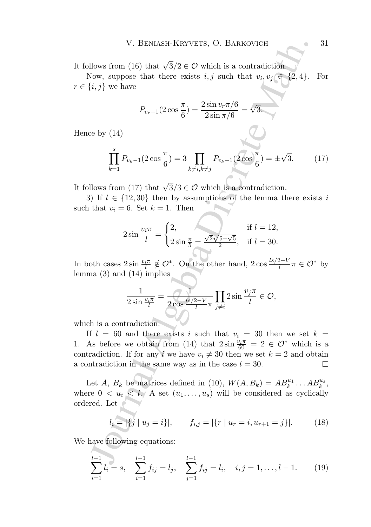It follows from (16) that  $\sqrt{3}/2 \in \mathcal{O}$  which is a contradiction.

Now, suppose that there exists  $i, j$  such that  $v_i, v_j \in \{2, 4\}$ . For  $r \in \{i, j\}$  we have

$$
P_{v_r-1}(2\cos\frac{\pi}{6}) = \frac{2\sin v_r \pi/6}{2\sin \pi/6} = \sqrt{3}.
$$

Hence by (14)

$$
\prod_{k=1}^{s} P_{v_k - 1}(2\cos\frac{\pi}{6}) = 3 \prod_{k \neq i, k \neq j} P_{v_k - 1}(2\cos\frac{\pi}{6}) = \pm\sqrt{3}.
$$
 (17)

It follows from (17) that  $\sqrt{3}/3 \in \mathcal{O}$  which is a contradiction.

3) If  $l \in \{12, 30\}$  then by assumptions of the lemma there exists i such that  $v_i = 6$ . Set  $k = 1$ . Then

$$
2\sin\frac{v_i\pi}{l} = \begin{cases} 2, & \text{if } l = 12, \\ 2\sin\frac{\pi}{5} = \frac{\sqrt{2}\sqrt{5-\sqrt{5}}}{2}, & \text{if } l = 30. \end{cases}
$$

In both cases  $2\sin\frac{v_i\pi}{l}\notin \mathcal{O}^*$ . On the other hand,  $2\cos\frac{ls/2-V}{l}\pi\in \mathcal{O}^*$  by lemma (3) and (14) implies

$$
\frac{1}{2\sin\frac{v_i\pi}{l}} = \frac{1}{2\cos\frac{ls/2-V}{l}\pi} \prod_{j\neq i} 2\sin\frac{v_j\pi}{l} \in \mathcal{O},
$$

which is a contradiction.

V. BENASH-KRYVETS, O. BARKOVICH<br>
Hows from (16) that  $\sqrt{3}/2 \in \mathcal{O}$  which is a contradiction<br>
Gow, suppose that there exists  $i, j$  such that  $v_i, v_j \in [2, 4]$ .<br>  $\prod_{i,j}^{s} y_i$  we have<br>  $P_{v_r-1}(2 \cos \frac{\pi}{6}) = \frac{2 \sin v_r \pi/6}{2 \sin \pi$ If  $l = 60$  and there exists i such that  $v_i = 30$  then we set  $k =$ 1. As before we obtain from (14) that  $2\sin\frac{v_i\pi}{60} = 2 \in \mathcal{O}^*$  which is a contradiction. If for any i we have  $v_i \neq 30$  then we set  $k = 2$  and obtain a contradiction in the same way as in the case  $l = 30$ . a contradiction in the same way as in the case  $l = 30$ .

Let A,  $B_k$  be matrices defined in (10),  $W(A, B_k) = AB_k^{u_1} \dots AB_k^{u_s}$ , where  $0 < u_i < l$ . A set  $(u_1, \ldots, u_s)$  will be considered as cyclically ordered. Let

$$
l_i = |\{j \mid u_j = i\}|, \qquad f_{i,j} = |\{r \mid u_r = i, u_{r+1} = j\}|. \tag{18}
$$

We have following equations:

$$
\sum_{i=1}^{l-1} l_i = s, \quad \sum_{i=1}^{l-1} f_{ij} = l_j, \quad \sum_{j=1}^{l-1} f_{ij} = l_i, \quad i, j = 1, \dots, l-1.
$$
 (19)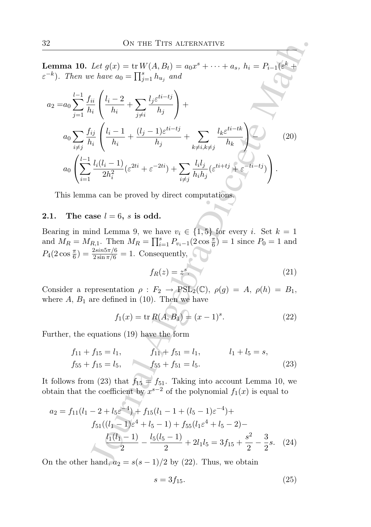**Lemma 10.** Let  $g(x) = \text{tr } W(A, B_t) = a_0 x^s + \cdots + a_s, h_i = P_{i-1}(\varepsilon^k +$  $\varepsilon^{-k}$ ). Then we have  $a_0 = \prod_{j=1}^s h_{u_j}$  and

2 ON THE TITS ALTERNATIVE  
\nerman 10. Let 
$$
g(x) = \text{tr } W(A, B_t) = a_0x^s + \cdots + a_s
$$
,  $h_i = P_{i-1}(\varepsilon^k + \varepsilon^k)$ . Then we have  $a_0 = \prod_{j=1}^s h_{u_j}$  and  
\n $a_2 = a_0 \sum_{j=1}^l \frac{f_{ii}}{h_i} \left( \frac{l_i - 2}{h_i} + \sum_{j \neq i}^l \frac{l_j \varepsilon^{ti - tj}}{h_j} \right) +$   
\n $a_0 \sum_{i \neq j}^l \frac{f_{ij}}{h_i} \left( \frac{l_i - 1}{h_i} + \frac{(l_j - 1)\varepsilon^{ti - tj}}{h_j} + \sum_{k \neq i, k \neq j}^l \frac{l_k \varepsilon^{ti - tk}}{h_k} \right)$  (20)  
\n $a_0 \left( \sum_{i=1}^{l-1} \frac{l_i(l_i - 1)}{2h_i^2} (\varepsilon^{2ti} + \varepsilon^{-2ti}) + \sum_{i \neq j}^l \frac{l_i l_j}{h_i h_j} (\varepsilon^{ti + tj} + \varepsilon^{-ti - tj}) \right)$ .  
\nThis lemma can be proved by direct computations.  
\n1. The case  $l = 6$ ,  $s$  is odd.  
\nlearning in mind Lemma 9, we have  $v_i \in \{1, 5\}$  for every  $i$ . Set  $k = 1$   
\nand  $M_R = M_{R,1}$ . Then  $M_R = \prod_{i=1}^s P_{v_i-1}(2 \cos \frac{\pi}{6}) = 1$  since  $P_0 = 1$  and  
\n $l_4(2 \cos \frac{\pi}{6}) = \frac{2 \sin 5\pi/6}{2 \sin \pi/6} = 1$ . Consequently,  
\n $f_R(z) = z^s$ . (21)  
\nConsider a representation  $\rho : F_2 \rightarrow \text{PSL}_2(\mathbb{C}), \rho(g) = A, \rho(h) = B_1$ ,  
\nthere  $A, B_1$  are defined in (10). Then we have  
\n $f_1(x) = \text{tr } R(A, B_1) = \langle x - 1 \rangle^s$ . (22)  
\nFurther, the equations (19) have the form  
\n $f_{11} +$ 

This lemma can be proved by direct computations.

# 2.1. The case  $l = 6$ , s is odd.

Bearing in mind Lemma 9, we have  $v_i \in \{1, 5\}$  for every i. Set  $k = 1$ and  $M_R = M_{R,1}$ . Then  $M_R = \prod_{i=1}^s P_{v_i-1}(2 \cos \frac{\pi}{6}) = 1$  since  $P_0 = 1$  and  $P_4(2\cos{\frac{\pi}{6}}) = \frac{2\sin{5\pi/6}}{2\sin{\pi/6}} = 1$ . Consequently,

$$
f_R(z) = z^s. \tag{21}
$$

Consider a representation  $\rho : F_2 \to \text{PSL}_2(\mathbb{C}), \ \rho(g) = A, \ \rho(h) = B_1,$ where  $A, B_1$  are defined in (10). Then we have

$$
f_1(x) = \text{tr } R(A, B_1) = (x - 1)^s. \tag{22}
$$

Further, the equations (19) have the form

$$
f_{11} + f_{15} = l_1, \t f_{11} + f_{51} = l_1, \t l_1 + l_5 = s,
$$
  

$$
f_{55} + f_{15} = l_5, \t f_{55} + f_{51} = l_5.
$$
 (23)

It follows from (23) that  $f_{15} = f_{51}$ . Taking into account Lemma 10, we obtain that the coefficient by  $x^{s-2}$  of the polynomial  $f_1(x)$  is equal to

$$
a_2 = f_{11}(l_1 - 2 + l_5 \varepsilon^{-4}) + f_{15}(l_1 - 1 + (l_5 - 1)\varepsilon^{-4}) +
$$
  
\n
$$
f_{51}((l_1 - 1)\varepsilon^4 + l_5 - 1) + f_{55}(l_1\varepsilon^4 + l_5 - 2) -
$$
  
\n
$$
\frac{l_1(l_1 - 1)}{2} - \frac{l_5(l_5 - 1)}{2} + 2l_1l_5 = 3f_{15} + \frac{s^2}{2} - \frac{3}{2}s. \quad (24)
$$

On the other hand,  $a_2 = s(s-1)/2$  by (22). Thus, we obtain

$$
s = 3f_{15}.\tag{25}
$$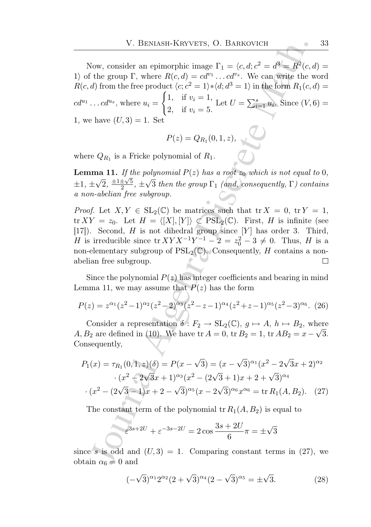V. BENASH-KRYVETS, O. BARKOVICH<br>
Now, consider an epimorphic image  $\Gamma_1 = \langle c, d, c^2 = d^2 = R^2(c, d, d)$ <br>
the group T, where  $R(c, d) = cd^{\alpha/2}$ . We can write the wind the<br>
d) from the free product  $\langle c; c^2 = 1 \rangle * \langle d; d^2 = 1 \rangle$  in the Now, consider an epimorphic image  $\Gamma_1 = \langle c, d; c^2 = d^3 = R^2(c, d) =$ 1) of the group  $\Gamma$ , where  $R(c, d) = cd^{v_1} \dots cd^{v_s}$ . We can write the word  $R(c, d)$  from the free product  $\langle c; c^2 = 1 \rangle * \langle d; d^3 = 1 \rangle$  in the form  $R_1(c, d) =$  $cd^{u_1} \dots cd^{u_s}$ , where  $u_i =$  $\int 1$ , if  $v_i = 1$ , 2, if  $v_i = 5$ . Let  $U = \sum_{i=1}^{s} u_i$ . Since  $(V, 6)$  = 1, we have  $(U, 3) = 1$ . Set

$$
P(z) = Q_{R_1}(0, 1, z),
$$

where  $Q_{R_1}$  is a Fricke polynomial of  $R_1$ .

**Lemma 11.** If the polynomial  $P(z)$  has a root  $z_0$  which is not equal to 0,  $\pm 1, \pm \sqrt{2}, \frac{\pm 1 \pm \sqrt{5}}{2}$  $\frac{\pm\sqrt{5}}{2}$ ,  $\pm\sqrt{3}$  then the group  $\Gamma_1$  (and, consequently,  $\Gamma$ ) contains a non-abelian free subgroup.

*Proof.* Let  $X, Y \in SL_2(\mathbb{C})$  be matrices such that  $\text{tr } X = 0$ ,  $\text{tr } Y = 1$ ,  ${\rm tr} XY = z_0$ . Let  $H = \langle X |, [Y] \rangle \subset \text{PSL}_2(\mathbb{C})$ . First, H is infinite (see [17]). Second, H is not dihedral group since  $[Y]$  has order 3. Third, *H* is irreducible since  $\text{tr} XYX^{-1}Y^{-1} - 2 = z_0^2 - 3 \neq 0$ . Thus, *H* is a non-elementary subgroup of  $PSL_2(\mathbb{C})$ . Consequently, H contains a nonabelian free subgroup.  $\Box$ 

Since the polynomial  $P(z)$  has integer coefficients and bearing in mind Lemma 11, we may assume that  $P(z)$  has the form

$$
P(z) = z^{\alpha_1} (z^2 - 1)^{\alpha_2} (z^2 - 2)^{\alpha_3} (z^2 - z - 1)^{\alpha_4} (z^2 + z - 1)^{\alpha_5} (z^2 - 3)^{\alpha_6}.
$$
 (26)

Consider a representation  $\delta: F_2 \to SL_2(\mathbb{C}), g \mapsto A, h \mapsto B_2$ , where A,  $B_2$  are defined in (10). We have tr  $A = 0$ , tr  $B_2 = 1$ , tr  $AB_2 = x - \sqrt{3}$ . Consequently,

$$
P_1(x) = \tau_{R_1}(0, 1, z)(\delta) = P(x - \sqrt{3}) = (x - \sqrt{3})^{\alpha_1}(x^2 - 2\sqrt{3}x + 2)^{\alpha_2}
$$

$$
\cdot (x^2 - 2\sqrt{3}x + 1)^{\alpha_3}(x^2 - (2\sqrt{3} + 1)x + 2 + \sqrt{3})^{\alpha_4}
$$

$$
\cdot (x^2 - (2\sqrt{3} - 1)x + 2 - \sqrt{3})^{\alpha_5}(x - 2\sqrt{3})^{\alpha_6}x^{\alpha_6} = \text{tr } R_1(A, B_2). \quad (27)
$$

The constant term of the polynomial  $tr R_1(A, B_2)$  is equal to

$$
\varepsilon^{3s+2U} + \varepsilon^{-3s-2U} = 2\cos\frac{3s+2U}{6}\pi = \pm\sqrt{3}
$$

since s is odd and  $(U, 3) = 1$ . Comparing constant terms in (27), we obtain  $\alpha_6 = 0$  and

$$
(-\sqrt{3})^{\alpha_1} 2^{\alpha_2} (2+\sqrt{3})^{\alpha_4} (2-\sqrt{3})^{\alpha_5} = \pm \sqrt{3}.
$$
 (28)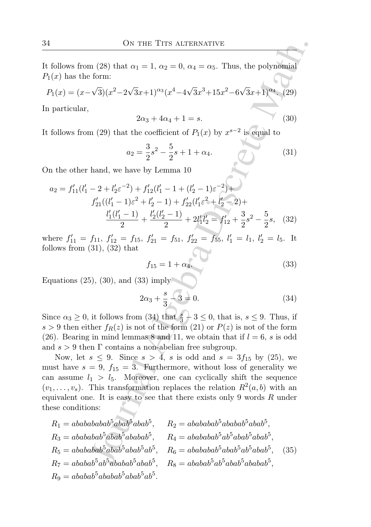It follows from (28) that  $\alpha_1 = 1$ ,  $\alpha_2 = 0$ ,  $\alpha_4 = \alpha_5$ . Thus, the polynomial  $P_1(x)$  has the form:

$$
P_1(x) = (x - \sqrt{3})(x^2 - 2\sqrt{3}x + 1)^{\alpha_3}(x^4 - 4\sqrt{3}x^3 + 15x^2 - 6\sqrt{3}x + 1)^{\alpha_4}.
$$
 (29)

In particular,

$$
2\alpha_3 + 4\alpha_4 + 1 = s. \tag{30}
$$

It follows from (29) that the coefficient of  $P_1(x)$  by  $x^{s-2}$  is equal to

$$
a_2 = \frac{3}{2}s^2 - \frac{5}{2}s + 1 + \alpha_4. \tag{31}
$$

On the other hand, we have by Lemma 10

$$
a_2 = f'_{11}(l'_1 - 2 + l'_2\varepsilon^{-2}) + f'_{12}(l'_1 - 1 + (l'_2 - 1)\varepsilon^{-2}) + f'_{21}((l'_1 - 1)\varepsilon^2 + l'_2 - 1) + f'_{22}(l'_1\varepsilon^2 + l'_2 - 2) + \frac{l'_1(l'_1 - 1)}{2} + \frac{l'_2(l'_2 - 1)}{2} + 2l'_1l'_2 = f'_{12} + \frac{3}{2}s^2 - \frac{5}{2}s, \quad (32)
$$

where  $f'_{11} = f_{11}$ ,  $f'_{12} = f_{15}$ ,  $f'_{21} = f_{51}$ ,  $f'_{22} = f_{55}$ ,  $l'_{1} = l_{1}$ ,  $l'_{2} = l_{5}$ . It follows from  $(31)$ ,  $(32)$  that

$$
f_{15} = 1 + \alpha_4. \t\t(33)
$$

Equations (25), (30), and (33) imply

$$
2\alpha_3 + \frac{s}{3} - 3 = 0. \tag{34}
$$

Since  $\alpha_3 \geq 0$ , it follows from (34) that  $\frac{s}{3} + 3 \leq 0$ , that is,  $s \leq 9$ . Thus, if  $s > 9$  then either  $f_R(z)$  is not of the form (21) or  $P(z)$  is not of the form (26). Bearing in mind lemmas 8 and 11, we obtain that if  $l = 6$ , s is odd and  $s > 9$  then  $\Gamma$  contains a non-abelian free subgroup.

ON THE TITS ALTERVATIVE<br>
(28) that  $\alpha_1 = 1$ ,  $\alpha_2 = 0$ ,  $\alpha_4 = \alpha_5$ . Thus, the polynomial<br>
form:<br>  $\sqrt{3}(x^2 - 2\sqrt{3}x + 1)^{3/3}(x^4 - 4\sqrt{3}x^3 + 15x^2 - 6\sqrt{3}x + 1)^{2a_4}$ . (29)<br>  $2\alpha_3 + 4\alpha_4 + 1 = s.$  (30)<br>  $2\alpha_3 + 4\alpha_4 + 1 = s.$ Now, let  $s \leq 9$ . Since  $s > 4$ , s is odd and  $s = 3f_{15}$  by (25), we must have  $s = 9$ ,  $f_{15} = 3$ . Furthermore, without loss of generality we can assume  $l_1 > l_5$ . Moreover, one can cyclically shift the sequence  $(v_1, \ldots, v_s)$ . This transformation replaces the relation  $R^2(a, b)$  with an equivalent one. It is easy to see that there exists only 9 words  $R$  under these conditions:

$$
R_1 = ababababab5abab5abab5abab5, R_2 = ababababab5ababab5abab5,R_3 = abababab5abab5ababab5, R_4 = abababab5ab5abab5abab5,R_5 = abababab5abab5abab5abab5ab5, R_6 = abababab5abab5abab5,R_7 = ababab5ab5ababab5abab5, R_8 = ababab5ab5ababab5,R_9 = ababab5ababab5ababab5ab5.
$$
\n(35)  
\n
$$
R_9 = ababab5ababab5ababab5ab5.
$$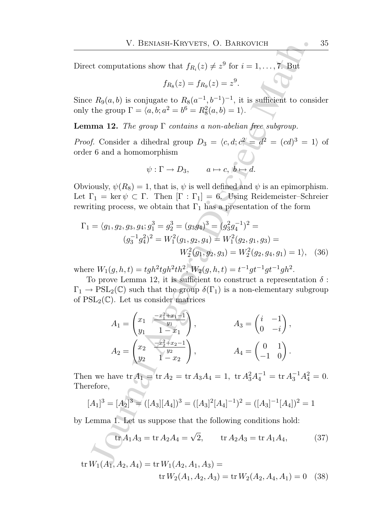Direct computations show that  $f_{R_i}(z) \neq z^9$  for  $i = 1, ..., 7$ . But

$$
f_{R_8}(z) = f_{R_9}(z) = z^9.
$$

Since  $R_9(a, b)$  is conjugate to  $R_8(a^{-1}, b^{-1})^{-1}$ , it is sufficient to consider only the group  $\Gamma = \langle a, b; a^2 = b^6 = R_8^2(a, b) = 1 \rangle$ .

**Lemma 12.** The group  $\Gamma$  contains a non-abelian free subgroup.

*Proof.* Consider a dihedral group  $D_3 = \langle c, d; c^2 = d^2 = (cd)^3 = 1 \rangle$  of order 6 and a homomorphism

$$
\psi : \Gamma \to D_3, \qquad a \mapsto c, \ b \mapsto d.
$$

Obviously,  $\psi(R_8) = 1$ , that is,  $\psi$  is well defined and  $\psi$  is an epimorphism. Let  $\Gamma_1 = \ker \psi \subset \Gamma$ . Then  $[\Gamma : \Gamma_1] = 6$ . Using Reidemeister–Schreier rewriting process, we obtain that  $\Gamma_1$  has a presentation of the form

$$
\Gamma_1 = \langle g_1, g_2, g_3, g_4; g_1^3 = g_2^3 = (g_3 g_4)^3 = (g_3^2 g_4^{-1})^2 =
$$
  

$$
(g_3^{-1} g_4^2)^2 = W_1^2(g_1, g_2, g_4) = W_1^2(g_2, g_1, g_3) =
$$
  

$$
W_2^2(g_1, g_2, g_3) = W_2^2(g_2, g_4, g_1) = 1 \rangle, \quad (36)
$$

where  $W_1(g, h, t) = tgh^2tgh^2th^2$ ,  $W_2(g, h, t) = t^{-1}gt^{-1}gt^{-1}gh^2$ .

To prove Lemma 12, it is sufficient to construct a representation  $\delta$ :  $\Gamma_1 \to \text{PSL}_2(\mathbb{C})$  such that the group  $\delta(\Gamma_1)$  is a non-elementary subgroup of  $PSL_2(\mathbb{C})$ . Let us consider matrices

V. BENIASH-KRYVETS, O. BARROVICH  
\nct computations show that 
$$
f_{R_i}(z) \neq z^9
$$
 for  $i = 1, ..., 7$ . But  
\n $f_{R_3}(z) = f_{R_9}(z) = z^9$ .  
\ne  $R_9(a, b)$  is conjugate to  $R_8(a^{-1}, b^{-1})^{-1}$ , it is sufficient to cons  
\nthe group  $\Gamma = \langle a, b, a^2 = b^6 = R_8^2(a, b) = 1 \rangle$ .  
\n**12.** The group  $\Gamma$  contains a non-abelian free subgroup.  
\nf. Consider a dihedral group  $D_3 = \langle c, d; c^2 = d^2 = (cd)^3 = 1$   
\nr 6 and a homomorphism  
\n $\psi : \Gamma \rightarrow D_3$ ,  $a \mapsto c, b \mapsto d$ .  
\niously,  $\psi(R_8) = 1$ , that is,  $\psi$  is well defined and  $\psi$  is an epimorphi-  
\n $\Gamma_1 = \ker \psi \subset \Gamma$ . Then  $[\Gamma : \Gamma_1] = 6$ . Using Reidemeister-Sch  
\niting process, we obtain that  $\Gamma_1$  has a presentation of the form  
\n $= \langle g_1, g_2, g_3, g_4; g_1^3 = g_2^3 = (g_3g_4)^3 = (g_3^2g_4^{-1})^2 =$   
\n $(g_3^{-1}g_4^2)^2 = W_1^2(g_1, g_2, g_4) = W_1^2(g_2, g_1, g_3) =$   
\n $W_2^2(g_1, g_2, g_3) = W_2^2(g_2, g_4, g_1) = 1$ ,  
\nwe  $W_1(g, h, t) = tgh^2tgh^2th^2$ ,  $W_2(g, h, t) = t^{-1}gt^{-1}gt^{-1}gt^{-1}$ .  
\nSo prove Lemma 12, it is sufficient to construct a representation  
\n $\rightarrow$  PSL<sub>2</sub>(C) such that the group  $\delta(\Gamma_1)$  is a non-elementary subgr  
\nSL<sub>2</sub>(C). Let us consider matrices  
\n $A_1 = \begin{pmatrix} x_1 & \frac{x_2^2 + x_2 - 1}{y_1} \\ y_1 & 1 - x_1 \end{pmatrix$ 

Then we have  $\text{tr } A_1 = \text{tr } A_2 = \text{tr } A_3 A_4 = 1$ ,  $\text{tr } A_3^2 A_4^{-1} = \text{tr } A_3^{-1} A_4^2 = 0$ . Therefore,

$$
[A_1]^3 = [A_2]^3 = ([A_3][A_4])^3 = ([A_3]^2 [A_4]^{-1})^2 = ([A_3]^{-1} [A_4])^2 = 1
$$

by Lemma 1. Let us suppose that the following conditions hold:

$$
\text{tr} A_1 A_3 = \text{tr} A_2 A_4 = \sqrt{2}, \qquad \text{tr} A_2 A_3 = \text{tr} A_1 A_4,\tag{37}
$$

tr 
$$
W_1(A_1, A_2, A_4) = \text{tr } W_1(A_2, A_1, A_3) =
$$
  
tr  $W_2(A_1, A_2, A_3) = \text{tr } W_2(A_2, A_4, A_1) = 0$  (38)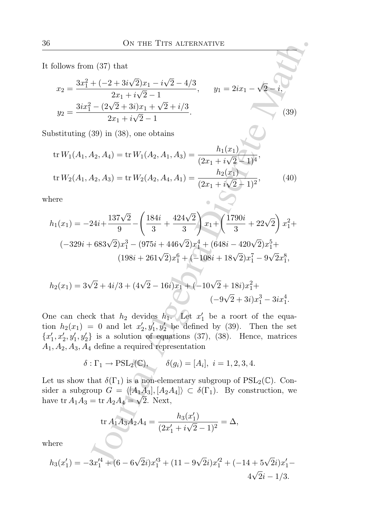It follows from (37) that

$$
x_2 = \frac{3x_1^2 + (-2 + 3i\sqrt{2})x_1 - i\sqrt{2} - 4/3}{2x_1 + i\sqrt{2} - 1}, \qquad y_1 = 2ix_1 - \sqrt{2} - i,
$$
  

$$
y_2 = \frac{3ix_1^2 - (2\sqrt{2} + 3i)x_1 + \sqrt{2} + i/3}{2x_1 + i\sqrt{2} - 1}.
$$
 (39)

Substituting (39) in (38), one obtains

$$
\text{tr}\,W_1(A_1, A_2, A_4) = \text{tr}\,W_1(A_2, A_1, A_3) = \frac{h_1(x_1)}{(2x_1 + i\sqrt{2} - 1)^4},
$$
\n
$$
\text{tr}\,W_2(A_1, A_2, A_3) = \text{tr}\,W_2(A_2, A_4, A_1) = \frac{h_2(x_1)}{(2x_1 + i\sqrt{2} - 1)^2},\tag{40}
$$

where

6.100000 s from (37) that  
\n
$$
x_2 = \frac{3x_1^2 + (-2 + 3i\sqrt{2})x_1 - i\sqrt{2} - 4/3}{2x_1 + i\sqrt{2} - 1}
$$
,  $y_1 = 2ix_1 - \sqrt{2} - i$ ,  
\n $y_2 = \frac{3ix_1^2 - (2\sqrt{2} + 3i)x_1 + \sqrt{2} + i/3}{2x_1 + i\sqrt{2} - 1}$ .  
\n4.1011  
\n4.1033  
\n4.1037  
\n4.1044  
\n4.105  
\n4.106  
\n4.107  
\n4.109  
\n4.101  
\n4.101  
\n4.101  
\n4.101  
\n4.103  
\n4.104  
\n4.105  
\n4.107  
\n4.109  
\n4.100  
\n4.101  
\n4.101  
\n4.101  
\n4.101  
\n4.102  
\n4.103  
\n4.104  
\n4.105  
\n4.109  
\n4.100  
\n4.101  
\n4.101  
\n4.101  
\n4.103  
\n4.104  
\n4.105  
\n4.107  
\n4.109  
\n4.100  
\n4.101  
\n4.101  
\n4.101  
\n4.103  
\n4.104  
\n4.105  
\n4.109  
\n4.100  
\n4.100  
\n4.101  
\n4.101  
\n4.101  
\n4.102  
\n4.103  
\n4.104  
\n4.105  
\n4.109  
\n4.1000  
\n4.101  
\n4.101  
\n4.101  
\n4.101  
\n4.102  
\n4.103  
\n4.104  
\n4.105  
\n4.109  
\n4.1000  
\n4.101  
\n4.101  
\n4.101  
\n4.101  
\n4.102  
\n4.103  
\n4.104  
\n4.105  
\n4.109  
\n4

$$
h_2(x_1) = 3\sqrt{2} + 4i/3 + (4\sqrt{2} - 16i)x_1 + (-10\sqrt{2} + 18i)x_1^2 + (-9\sqrt{2} + 3i)x_1^3 - 3ix_1^4.
$$

One can check that  $h_2$  devides  $h_1$ . Let  $x'_1$  be a roort of the equation  $h_2(x_1) = 0$  and let  $x'_2, y'_1, y'_2$  be defined by (39). Then the set  $\{x'_1, x'_2, y'_1, y'_2\}$  is a solution of equations (37), (38). Hence, matrices  $A_1, A_2, A_3, A_4$  define a required representation

$$
\delta: \Gamma_1 \to \mathrm{PSL}_2(\mathbb{C}), \qquad \delta(g_i) = [A_i], \ i = 1, 2, 3, 4.
$$

Let us show that  $\delta(\Gamma_1)$  is a non-elementary subgroup of  $PSL_2(\mathbb{C})$ . Consider a subgroup  $G = \langle [A_1A_3], [A_2A_4] \rangle \subset \delta(\Gamma_1)$ . By construction, we have tr  $A_1A_3 = \text{tr } A_2A_4 = \sqrt{2}$ . Next,

$$
\operatorname{tr} A_1 A_3 A_2 A_4 = \frac{h_3(x_1')}{(2x_1' + i\sqrt{2} - 1)^2} = \Delta,
$$

where

$$
h_3(x_1') = -3x_1'^4 + (6 - 6\sqrt{2}i)x_1'^3 + (11 - 9\sqrt{2}i)x_1'^2 + (-14 + 5\sqrt{2}i)x_1' - 4\sqrt{2}i - 1/3.
$$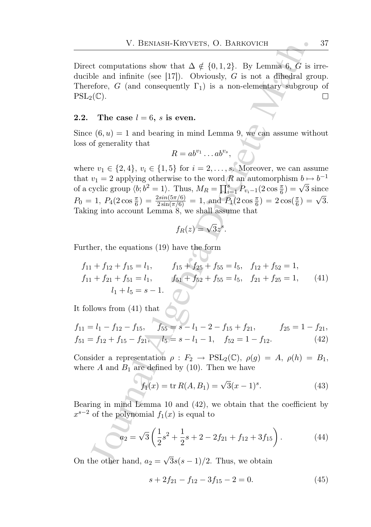Direct computations show that  $\Delta \notin \{0, 1, 2\}$ . By Lemma 6, G is irreducible and infinite (see [17]). Obviously,  $G$  is not a dihedral group. Therefore, G (and consequently  $\Gamma_1$ ) is a non-elementary subgroup of  $PSL_2(\mathbb{C})$ .  $\Box$ 

### 2.2. The case  $l = 6$ , s is even.

Since  $(6, u) = 1$  and bearing in mind Lemma 9, we can assume without loss of generality that

$$
R = ab^{v_1} \dots ab^{v_s},
$$

V. BENASH-KRYVETS, O. BARKOVICH<br>
et computations show that  $\Delta \notin \{0, 1, 2\}$ . By Lemma 6,  $G$  is is<br>
ble and infinite (see [17]). Obviously,  $G$  is not a difficial gre<br>
efore,  $G$  (and consequently  $\Gamma_1$ ) is a non-elemen where  $v_1 \in \{2, 4\}, v_i \in \{1, 5\}$  for  $i = 2, ..., s$ . Moreover, we can assume that  $v_1 = 2$  applying otherwise to the word R an automorphism  $b \mapsto b^{-1}$ of a cyclic group  $\langle b; b^2 = 1 \rangle$ . Thus,  $M_R = \prod_{i=1}^8 P_{v_i-1}(2 \cos \frac{\pi}{6}) = \sqrt{3}$  since 6  $P_0 = 1, P_4(2\cos{\frac{\pi}{6}}) = \frac{2\sin(5\pi/6)}{2\sin(\pi/6)} = 1, \text{ and } P_1(2\cos{\frac{\pi}{6}}) = 2\cos(\frac{\pi}{6}) = \sqrt{3}.$ Taking into account Lemma 8, we shall assume that

$$
f_R(z) = \sqrt{3}z^s.
$$

Further, the equations (19) have the form

$$
f_{11} + f_{12} + f_{15} = l_1, \t f_{15} + f_{25} + f_{55} = l_5, \t f_{12} + f_{52} = 1, f_{11} + f_{21} + f_{51} = l_1, \t f_{51} + f_{52} + f_{55} = l_5, \t f_{21} + f_{25} = 1, \t (41) l_1 + l_5 = s - 1.
$$

It follows from  $(41)$  that  $\bigcirc$ 

$$
f_{11} = l_1 - f_{12} - f_{15}, \t f_{55} = s - l_1 - 2 - f_{15} + f_{21}, \t f_{25} = 1 - f_{21}, f_{51} = f_{12} + f_{15} - f_{21}, \t f_{52} = s - l_1 - 1, \t f_{52} = 1 - f_{12}.
$$
(42)

Consider a representation  $\rho : F_2 \to \text{PSL}_2(\mathbb{C}), \ \rho(g) = A, \ \rho(h) = B_1,$ where  $A$  and  $B_1$  are defined by (10). Then we have

$$
f_1(x) = \text{tr } R(A, B_1) = \sqrt{3}(x - 1)^s. \tag{43}
$$

Bearing in mind Lemma 10 and (42), we obtain that the coefficient by  $x^{s-2}$  of the polynomial  $f_1(x)$  is equal to

$$
a_2 = \sqrt{3} \left( \frac{1}{2} s^2 + \frac{1}{2} s + 2 - 2f_{21} + f_{12} + 3f_{15} \right). \tag{44}
$$

On the other hand,  $a_2 = \sqrt{3}s(s-1)/2$ . Thus, we obtain

$$
s + 2f_{21} - f_{12} - 3f_{15} - 2 = 0.
$$
 (45)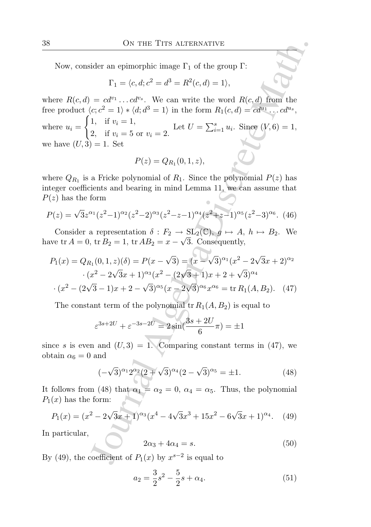Now, consider an epimorphic image  $\Gamma_1$  of the group  $\Gamma$ :

$$
\Gamma_1 = \langle c, d; c^2 = d^3 = R^2(c, d) = 1 \rangle,
$$

ON THE TITS ALTERVATIVE<br>
ider an epimorphic image  $\Gamma_1$  of the group  $\Gamma$ :<br>  $\Gamma_1 = \langle c, d; c^2 = d^3 = R^2(c, d) = 1 \rangle$ ,<br>  $= cT^{\alpha_1} \dots cT^{\alpha_p}$ . We can write the word  $R(c, d)$  from the<br>  $\langle c; c^2 = 1 \rangle * \langle d; d^3 = 1 \rangle$  in the form  $R_1(c,$ where  $R(c, d) = cd^{v_1} \dots cd^{v_s}$ . We can write the word  $R(c, d)$  from the free product  $\langle c; c^2 = 1 \rangle * \langle d; d^3 = 1 \rangle$  in the form  $R_1(c, d) = cd^{u_1} \dots cd^{u_s}$ , where  $u_i =$  $\int 1$ , if  $v_i = 1$ , 2, if  $v_i = 5$  or  $v_i = 2$ . Let  $U = \sum_{i=1}^{s} u_i$ . Since  $(V, 6) = 1$ , we have  $(U, 3) = 1$ . Set

$$
P(z) = Q_{R_1}(0,1,z),
$$

where  $Q_{R_1}$  is a Fricke polynomial of  $R_1$ . Since the polynomial  $P(z)$  has integer coefficients and bearing in mind Lemma 11, we can assume that  $P(z)$  has the form

$$
P(z) = \sqrt{3}z^{\alpha_1}(z^2 - 1)^{\alpha_2}(z^2 - 2)^{\alpha_3}(z^2 - z - 1)^{\alpha_4}(z^2 + z - 1)^{\alpha_5}(z^2 - 3)^{\alpha_6}.
$$
 (46)

Consider a representation  $\delta : F_2 \to SL_2(\mathbb{C}), g \mapsto A, h \mapsto B_2$ . We have tr  $A = 0$ , tr  $B_2 = 1$ , tr  $AB_2 = x - \sqrt{3}$ . Consequently,

$$
P_1(x) = Q_{R_1}(0, 1, z)(\delta) = P(x - \sqrt{3}) = (x - \sqrt{3})^{\alpha_1}(x^2 - 2\sqrt{3}x + 2)^{\alpha_2}
$$

$$
\cdot (x^2 - 2\sqrt{3}x + 1)^{\alpha_3}(x^2 - (2\sqrt{3} + 1)x + 2 + \sqrt{3})^{\alpha_4}
$$

$$
\cdot (x^2 - (2\sqrt{3} - 1)x + 2 - \sqrt{3})^{\alpha_5}(x - 2\sqrt{3})^{\alpha_6}x^{\alpha_6} = \text{tr } R_1(A, B_2). \tag{47}
$$

The constant term of the polynomial  $tr R_1(A, B_2)$  is equal to

$$
\varepsilon^{3s+2U} + \varepsilon^{-3s-2U} = 2\sin(\frac{3s+2U}{6}\pi) = \pm 1
$$

since s is even and  $(U, 3) = 1$ . Comparing constant terms in (47), we obtain  $\alpha_6 = 0$  and

$$
(-\sqrt{3})^{\alpha_1} 2^{\alpha_2} (2+\sqrt{3})^{\alpha_4} (2-\sqrt{3})^{\alpha_5} = \pm 1.
$$
 (48)

It follows from (48) that  $\alpha_1 = \alpha_2 = 0$ ,  $\alpha_4 = \alpha_5$ . Thus, the polynomial  $P_1(x)$  has the form:

$$
P_1(x) = (x^2 - 2\sqrt{3}x + 1)^{\alpha_3}(x^4 - 4\sqrt{3}x^3 + 15x^2 - 6\sqrt{3}x + 1)^{\alpha_4}.
$$
 (49)

In particular,

$$
2\alpha_3 + 4\alpha_4 = s. \tag{50}
$$

By (49), the coefficient of  $P_1(x)$  by  $x^{s-2}$  is equal to

$$
a_2 = \frac{3}{2}s^2 - \frac{5}{2}s + \alpha_4. \tag{51}
$$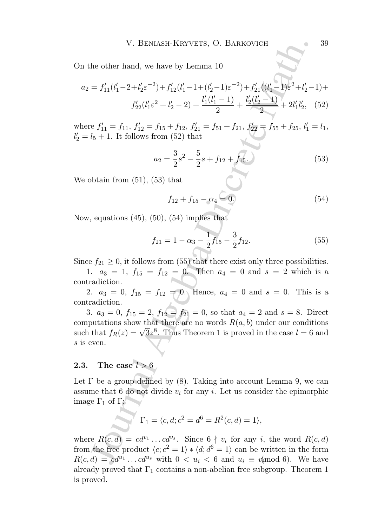On the other hand, we have by Lemma 10

$$
a_2 = f'_{11}(l'_1 - 2 + l'_2\varepsilon^{-2}) + f'_{12}(l'_1 - 1 + (l'_2 - 1)\varepsilon^{-2}) + f'_{21}((l'_1 - 1)\varepsilon^2 + l'_2 - 1) +
$$
  

$$
f'_{22}(l'_1\varepsilon^2 + l'_2 - 2) + \frac{l'_1(l'_1 - 1)}{2} + \frac{l'_2(l'_2 - 1)}{2} + 2l'_1l'_2, \quad (52)
$$

where  $f'_{11} = f_{11}$ ,  $f'_{12} = f_{15} + f_{12}$ ,  $f'_{21} = f_{51} + f_{21}$ ,  $f'_{22} = f_{55} + f_{25}$ ,  $l'_{1} = l_{1}$ ,  $l'_2 = l_5 + 1$ . It follows from (52) that

$$
a_2 = \frac{3}{2}s^2 - \frac{5}{2}s + f_{12} + f_{15}.\tag{53}
$$

We obtain from (51), (53) that

$$
f_{12} + f_{15} - \alpha_4 = 0. \tag{54}
$$

Now, equations  $(45)$ ,  $(50)$ ,  $(54)$  implies that

$$
f_{21} = 1 - \alpha_3 - \frac{1}{2} f_{15} - \frac{3}{2} f_{12}.
$$
 (55)

Since  $f_{21} \geq 0$ , it follows from (55) that there exist only three possibilities.

1.  $a_3 = 1$ ,  $f_{15} = f_{12} = 0$ . Then  $a_4 = 0$  and  $s = 2$  which is a tradiction contradiction.

2.  $a_3 = 0$ ,  $f_{15} = f_{12} = 0$ . Hence,  $a_4 = 0$  and  $s = 0$ . This is a tradiction contradiction.

V. BENASH-KRYVETS, O. BARKOVICH<br>
he other hand, we have by Lemma 10<br>  $=f'_{11}(t'_1-2+t'_2e^{-2})+f'_{12}(t'_1-1+(t'_2-1)e^{-2})+f'_{21}(t'_1-1)e^{2}+t'_2-$ <br>  $f'_{22}(t'_1e^{2}+t'_2-2)+\frac{F_1(t'_1-1)}{2}+ \frac{F_2(t'_2-1)}{2}+2t'_1t'_2,$ <br>  $vP_{11}'=f_{11}, f'_{12}=f_{13$ 3.  $a_3 = 0$ ,  $f_{15} = 2$ ,  $f_{12} = f_{21} = 0$ , so that  $a_4 = 2$  and  $s = 8$ . Direct computations show that there are no words  $R(a, b)$  under our conditions such that  $f_R(z) = \sqrt{3}z^8$ . Thus Theorem 1 is proved in the case  $l = 6$  and s is even.

## 2.3. The case  $l > 6$

Let  $\Gamma$  be a group defined by (8). Taking into account Lemma 9, we can assume that 6 do not divide  $v_i$  for any i. Let us consider the epimorphic image  $\Gamma_1$  of  $\Gamma$ :

$$
\Gamma_1 = \langle c, d; c^2 = d^6 = R^2(c, d) = 1 \rangle,
$$

where  $R(c, d) = cd^{v_1} \dots cd^{v_s}$ . Since  $6 \nmid v_i$  for any i, the word  $R(c, d)$ from the free product  $\langle c; c^2 = 1 \rangle * \langle d; d^6 = 1 \rangle$  can be written in the form  $R(c, d) = cd^{u_1} \dots cd^{u_s}$  with  $0 < u_i < 6$  and  $u_i \equiv u \pmod{6}$ . We have already proved that  $\Gamma_1$  contains a non-abelian free subgroup. Theorem 1 is proved.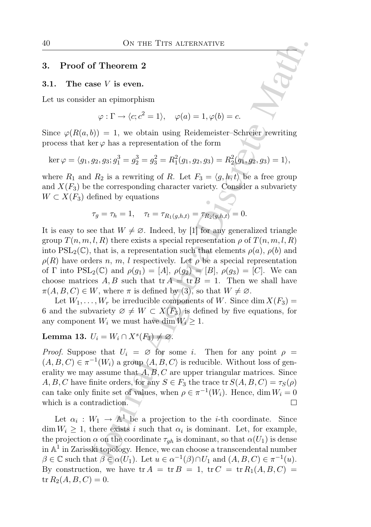### 3. Proof of Theorem 2

#### 3.1. The case V is even.

Let us consider an epimorphism

$$
\varphi : \Gamma \to \langle c; c^2 = 1 \rangle, \quad \varphi(a) = 1, \varphi(b) = c.
$$

Since  $\varphi(R(a, b)) = 1$ , we obtain using Reidemeister–Schreier rewriting process that ker  $\varphi$  has a representation of the form

$$
\ker \varphi = \langle g_1, g_2, g_3; g_1^3 = g_2^3 = g_3^2 = R_1^2(g_1, g_2, g_3) = R_2^2(g_1, g_2, g_3) = 1 \rangle,
$$

where  $R_1$  and  $R_2$  is a rewriting of R. Let  $F_3 = \langle g, h, t \rangle$  be a free group and  $X(F_3)$  be the corresponding character variety. Consider a subvariety  $W \subset X(F_3)$  defined by equations

$$
\tau_g = \tau_h = 1, \quad \tau_t = \tau_{R_1(g,h,t)} = \tau_{R_2(g,h,t)} = 0.
$$

ON THE TITS ALTERNATIVE<br>
of Theorem 2<br>
se V is even.<br>
er an epimorphism<br>  $\varphi : \Gamma \rightarrow \langle e; c^2 - 1 \rangle$ ,  $\varphi(a) - 1, \varphi(b) - c$ .<br>
(b)) = 1, we obtain using Reidemeister Schreier rewriting<br>
erg has a representation of the form<br>  $g_2, g$ It is easy to see that  $W \neq \emptyset$ . Indeed, by [1] for any generalized triangle group  $T(n, m, l, R)$  there exists a special representation  $\rho$  of  $T(n, m, l, R)$ into  $PSL_2(\mathbb{C})$ , that is, a representation such that elements  $\rho(a), \rho(b)$  and  $\rho(R)$  have orders n, m, l respectively. Let  $\rho$  be a special representation of  $\Gamma$  into  $PSL_2(\mathbb{C})$  and  $\rho(g_1) = [A], \rho(g_2) = [B], \rho(g_3) = [C]$ . We can choose matrices A, B such that  ${\rm tr} A = {\rm tr} B = 1$ . Then we shall have  $\pi(A, B, C) \in W$ , where  $\pi$  is defined by (3), so that  $W \neq \emptyset$ .

Let  $W_1, \ldots, W_r$  be irreducible components of W. Since dim  $X(F_3)$  = 6 and the subvariety  $\varnothing \neq W \subset X(F_3)$  is defined by five equations, for any component  $W_i$  we must have dim  $W_i \geq 1$ .

Lemma 13.  $U_i = W_i \cap X^s(F_3) \neq \emptyset$ .

*Proof.* Suppose that  $U_i = \emptyset$  for some i. Then for any point  $\rho =$  $(A, B, C) \in \pi^{-1}(W_i)$  a group  $\langle A, B, C \rangle$  is reducible. Without loss of generality we may assume that  $A, B, C$  are upper triangular matrices. Since A, B, C have finite orders, for any  $S \in F_3$  the trace tr  $S(A, B, C) = \tau_S(\rho)$ can take only finite set of values, when  $\rho \in \pi^{-1}(W_i)$ . Hence, dim  $W_i = 0$ which is a contradiction.

Let  $\alpha_i : W_1 \to \mathbb{A}^1$  be a projection to the *i*-th coordinate. Since  $\dim W_i \geq 1$ , there exists i such that  $\alpha_i$  is dominant. Let, for example, the projection  $\alpha$  on the coordinate  $\tau_{gh}$  is dominant, so that  $\alpha(U_1)$  is dense in  $\mathbb{A}^1$  in Zarisski topology. Hence, we can choose a transcendental number  $\beta \in \mathbb{C}$  such that  $\beta \in \alpha(U_1)$ . Let  $u \in \alpha^{-1}(\beta) \cap U_1$  and  $(A, B, C) \in \pi^{-1}(u)$ . By construction, we have  $tr A = tr B = 1$ ,  $tr C = tr R_1(A, B, C)$  ${\rm tr} R_2(A, B, C) = 0.$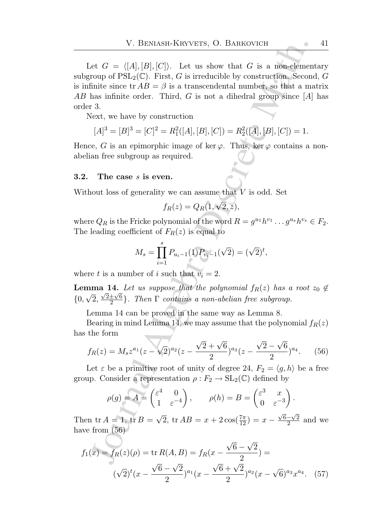V. BENASH-KRYVETS, O. BARKOVICH<br>
Let  $G = ([A],[B],[C])$ . Let us show that  $G$  is a mon-element<br>
roup of PSL<sub>S</sub>(C). First,  $G$  is irreducible by construction. Second<br>
Finite since tr $AB = \beta$  is a transcendental number, so that a ma Let  $G = \langle [A], [B], [C] \rangle$ . Let us show that G is a non-elementary subgroup of  $PSL_2(\mathbb{C})$ . First, G is irreducible by construction. Second, G is infinite since  $\text{tr } AB = \beta$  is a transcendental number, so that a matrix AB has infinite order. Third, G is not a dihedral group since  $[A]$  has order 3.

Next, we have by construction

$$
[A]^3 = [B]^3 = [C]^2 = R_1^2([A], [B], [C]) = R_2^2([A], [B], [C]) = 1.
$$

Hence, G is an epimorphic image of ker  $\varphi$ . Thus, ker  $\varphi$  contains a nonabelian free subgroup as required.

### 3.2. The case  $s$  is even.

Without loss of generality we can assume that  $V$  is odd. Set

$$
f_R(z) = Q_R(1, \sqrt{2}, z),
$$

where  $Q_R$  is the Fricke polynomial of the word  $R = g^{u_1}h^{v_1} \dots g^{u_s}h^{v_s} \in F_2$ . The leading coefficient of  $F_R(z)$  is equal to

$$
M_s = \prod_{i=1}^s P_{u_i-1}(1) P_{v_i-1}(\sqrt{2}) = (\sqrt{2})^t,
$$

where t is a number of i such that  $v_i = 2$ .

**Lemma 14.** Let us suppose that the polynomial  $f_R(z)$  has a root  $z_0 \notin$  $\{0, \sqrt{2}, \frac{\sqrt{2} \pm \sqrt{6}}{2}$  $\frac{\pm \sqrt{6}}{2}$ . Then  $\Gamma$  contains a non-abelian free subgroup.

Lemma 14 can be proved in the same way as Lemma 8.

Bearing in mind Lemma 14, we may assume that the polynomial  $f_R(z)$ has the form

$$
f_R(z) = M_s z^{a_1} (z - \sqrt{2})^{a_2} (z - \frac{\sqrt{2} + \sqrt{6}}{2})^{a_3} (z - \frac{\sqrt{2} - \sqrt{6}}{2})^{a_4}.
$$
 (56)

Let  $\varepsilon$  be a primitive root of unity of degree 24,  $F_2 = \langle g, h \rangle$  be a free group. Consider a representation  $\rho : F_2 \to SL_2(\mathbb{C})$  defined by

$$
\rho(g) = A = \begin{pmatrix} \varepsilon^4 & 0 \\ 1 & \varepsilon^{-4} \end{pmatrix}, \qquad \rho(h) = B = \begin{pmatrix} \varepsilon^3 & x \\ 0 & \varepsilon^{-3} \end{pmatrix}.
$$

Then  $\text{tr } A = 1$ ,  $\text{tr } B = \sqrt{2}$ ,  $\text{tr } AB = x + 2 \cos(\frac{7\pi}{12}) = x - \frac{\sqrt{6}-\sqrt{2}}{2}$  $\frac{-\sqrt{2}}{2}$  and we have from  $(56)$ 

$$
f_1(x) = f_R(z)(\rho) = \text{tr } R(A, B) = f_R(x - \frac{\sqrt{6} - \sqrt{2}}{2}) =
$$
  

$$
(\sqrt{2})^t (x - \frac{\sqrt{6} - \sqrt{2}}{2})^{a_1} (x - \frac{\sqrt{6} + \sqrt{2}}{2})^{a_2} (x - \sqrt{6})^{a_3} x^{a_4}.
$$
 (57)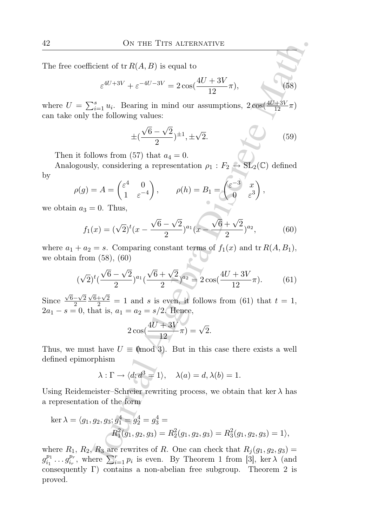The free coefficient of  $tr R(A, B)$  is equal to

$$
\varepsilon^{4U+3V} + \varepsilon^{-4U-3V} = 2\cos(\frac{4U+3V}{12}\pi),\tag{58}
$$

where  $U = \sum_{i=1}^{s} u_i$ . Bearing in mind our assumptions,  $2\cos(\frac{4U+3V}{12}\pi)$ can take only the following values:

$$
\pm (\frac{\sqrt{6}-\sqrt{2}}{2})^{\pm 1}, \pm \sqrt{2}.
$$
 (59)

Then it follows from (57) that  $a_4 = 0$ .

Analogously, considering a representation  $\rho_1 : F_2 \to SL_2(\mathbb{C})$  defined by

$$
\rho(g) = A = \begin{pmatrix} \varepsilon^4 & 0 \\ 1 & \varepsilon^{-4} \end{pmatrix}, \qquad \rho(h) = B_1 = \begin{pmatrix} \varepsilon^{-3} & x \\ 0 & \varepsilon^3 \end{pmatrix},
$$

we obtain  $a_3 = 0$ . Thus,

$$
f_1(x) = (\sqrt{2})^t (x - \frac{\sqrt{6} - \sqrt{2}}{2})^{a_1} (x - \frac{\sqrt{6} + \sqrt{2}}{2})^{a_2},
$$
 (60)

where  $a_1 + a_2 = s$ . Comparing constant terms of  $f_1(x)$  and tr  $R(A, B_1)$ , we obtain from  $(58)$ ,  $(60)$ 

$$
(\sqrt{2})^t (\frac{\sqrt{6}-\sqrt{2}}{2})^{a_1} (\frac{\sqrt{6}+\sqrt{2}}{2})^{a_2} = 2\cos(\frac{4U+3V}{12}\pi). \tag{61}
$$

Since  $\frac{\sqrt{6}-\sqrt{2}}{2}$ 2  $\frac{\sqrt{6}+\sqrt{2}}{2}$  = 1 and s is even, it follows from (61) that  $t = 1$ ,  $2a_1 - s = 0$ , that is,  $a_1 = a_2 = s/2$ . Hence,

$$
2\cos(\frac{4U+3V}{12}\pi) = \sqrt{2}.
$$

Thus, we must have  $U \equiv \pmod{3}$ . But in this case there exists a well defined epimorphism

$$
\lambda : \Gamma \to \langle d; d^3 = 1 \rangle, \quad \lambda(a) = d, \lambda(b) = 1.
$$

Using Reidemeister–Schreier rewriting process, we obtain that ker  $\lambda$  has a representation of the form

ON THE TITS ALTERMATIVE

\nthe free coefficient of tr 
$$
R(A, B)
$$
 is equal to

\n
$$
\varepsilon^{4U+3V} + \varepsilon^{-4U-3V} = 2 \cos(\frac{4U+3V}{12}\pi),
$$
\nwhere  $U = \sum_{i=1}^{s} u_i$ . Bearing in mind our assumptions,  $2 \cos(\frac{4U+3V}{12}\pi)$  that the only the following values:

\n
$$
\pm(\frac{\sqrt{6}-\sqrt{2}}{2})^{\pm 1}, \pm \sqrt{2}.
$$
\nThen it follows from (57) that  $a_4 = 0$ .

\nAnalogously, considering a representation  $\rho_1 : F_2 \rightarrow \text{SL}_2(\mathbb{C})$  defined

\n
$$
\rho(g) = A = \begin{pmatrix} \varepsilon^4 & 0 \\ 1 & \varepsilon^{-4} \end{pmatrix}, \qquad \rho(h) = B_1 = \begin{pmatrix} \varepsilon^{-3} & x \\ 0 & \varepsilon^3 \end{pmatrix},
$$
\nobtain  $a_3 = 0$ . Thus,

\n
$$
f_1(x) = (\sqrt{2})^t (x - \frac{\sqrt{6} - \sqrt{2}}{2})^{a_1} (x - \frac{\sqrt{6} + \sqrt{2}}{2})^{a_2},
$$
\n(60)

\nhere  $a_1 + a_2 = s$ . Comparing constant terms of  $f_1(x)$  and tr  $R(A, B_1)$ , obtain from (58), (60)

\n
$$
(\sqrt{2})^t (\frac{\sqrt{6} - \sqrt{2}}{2})^{a_1} (\frac{\sqrt{6} + \sqrt{2}}{2})^{a_2} = 2 \cos(\frac{4U + 3V}{12}\pi).
$$
\n(61)

\nace  $\frac{\sqrt{6} - \sqrt{2}}{2} \frac{\sqrt{6} + \sqrt{2}}{2} = 1$  and  $s$  is even, if follows from (61) that  $t = 1$ ,  $1 - s = 0$ , that is,  $a_1 = a_2 = s/2$ . Hence,

\n
$$
2 \cos(\frac{
$$

where  $R_1, R_2, R_3$  are rewrites of R. One can check that  $R_j (g_1, g_2, g_3) =$  $g_{i_1}^{p_1}$  $\frac{p_1}{i_1} \dots g_{i_r}^{p_r}$  $\sum_{i=1}^{p_r}$ , where  $\sum_{i=1}^{r} p_i$  is even. By Theorem 1 from [3], ker  $\lambda$  (and consequently Γ) contains a non-abelian free subgroup. Theorem 2 is proved.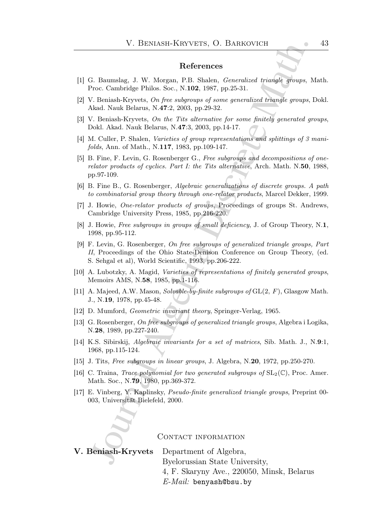#### References

- [1] G. Baumslag, J. W. Morgan, P.B. Shalen, Generalized triangle groups, Math. Proc. Cambridge Philos. Soc., N.102, 1987, pp.25-31.
- [2] V. Beniash-Kryvets, On free subgroups of some generalized triangle groups, Dokl. Akad. Nauk Belarus, N.47:2, 2003, pp.29-32.
- [3] V. Beniash-Kryvets, On the Tits alternative for some finitely generated groups, Dokl. Akad. Nauk Belarus, N.47:3, 2003, pp.14-17.
- [4] M. Culler, P. Shalen, Varieties of group representations and splittings of 3 manifolds, Ann. of Math., N.117, 1983, pp.109-147.
- [5] B. Fine, F. Levin, G. Rosenberger G., Free subgroups and decompositions of onerelator products of cyclics. Part I: the Tits alternative, Arch. Math. N.50, 1988, pp.97-109.
- [6] B. Fine B., G. Rosenberger, Algebraic generalizations of discrete groups. A path to combinatorial group theory through one-relator products, Marcel Dekker, 1999.
- [7] J. Howie, One-relator products of groups, Proceedings of groups St. Andrews, Cambridge University Press, 1985, pp.216-220.
- [8] J. Howie, Free subgroups in groups of small deficiency, J. of Group Theory, N.1, 1998, pp.95-112.
- V. BENIASH-KIRYVETS, O. BARROVICH<br>
References<br>
References<br>
2. Raumalag, J. W. Morgan, P.B. Shalen, *Generalized triangle groups*, V.<br>
2. Denisal-Kryvets, On *five subgramps of some generalized triangle groups*,<br>
2. Denisa [9] F. Levin, G. Rosenberger, On free subgroups of generalized triangle groups, Part II, Proceedings of the Ohio State-Denison Conference on Group Theory, (ed. S. Sehgal et al), World Scientific, 1993, pp.206-222.
- [10] A. Lubotzky, A. Magid, Varieties of representations of finitely generated groups, Memoirs AMS, N.58, 1985, pp.1-116.
- [11] A. Majeed, A.W. Mason, Solvable-by-finite subgroups of GL(2, F), Glasgow Math. J., N.19, 1978, pp.45-48.
- [12] D. Mumford, Geometric invariant theory, Springer-Verlag, 1965.
- [13] G. Rosenberger, On free subgroups of generalized triangle groups, Algebra i Logika, N.28, 1989, pp.227-240.
- [14] K.S. Sibirskij, Algebraic invariants for a set of matrices, Sib. Math. J., N.9:1, 1968, pp.115-124.
- [15] J. Tits, Free subgroups in linear groups, J. Algebra, N.20, 1972, pp.250-270.
- [16] C. Traina, *Trace polynomial for two generated subgroups of*  $SL_2(\mathbb{C})$ , Proc. Amer. Math. Soc., N.79, 1980, pp.369-372.
- [17] E. Vinberg, Y. Kaplinsky, Pseudo-finite generalized triangle groups, Preprint 00- 003, Universität Bielefeld, 2000.

CONTACT INFORMATION

V. Beniash-Kryvets Department of Algebra, Byelorussian State University, 4, F. Skaryny Ave., 220050, Minsk, Belarus  $E$ -*Mail*: benyash@bsu.by